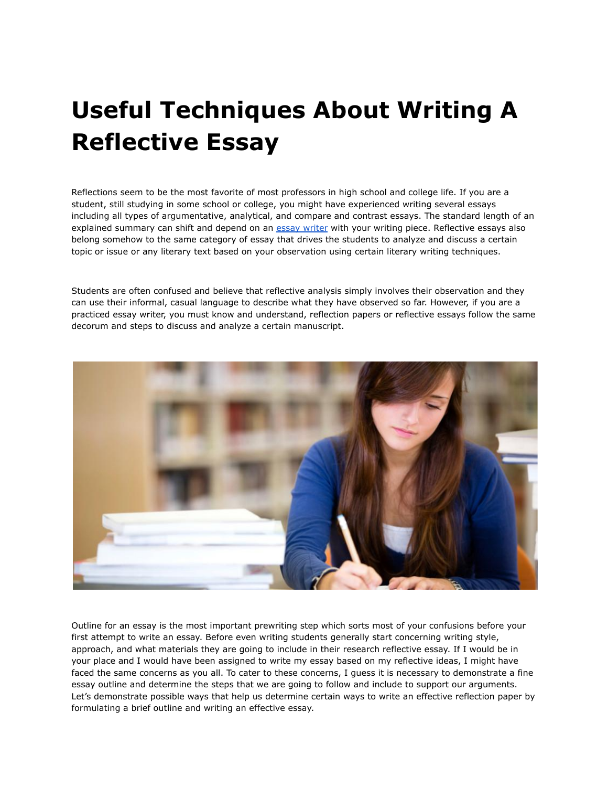# **Useful Techniques About Writing A Reflective Essay**

Reflections seem to be the most favorite of most professors in high school and college life. If you are a student, still studying in some school or college, you might have experienced writing several essays including all types of argumentative, analytical, and compare and contrast essays. The standard length of an explained summary can shift and depend on an essay [writer](https://youressaywriter.net/) with your writing piece. Reflective essays also belong somehow to the same category of essay that drives the students to analyze and discuss a certain topic or issue or any literary text based on your observation using certain literary writing techniques.

Students are often confused and believe that reflective analysis simply involves their observation and they can use their informal, casual language to describe what they have observed so far. However, if you are a practiced essay writer, you must know and understand, reflection papers or reflective essays follow the same decorum and steps to discuss and analyze a certain manuscript.



Outline for an essay is the most important prewriting step which sorts most of your confusions before your first attempt to write an essay. Before even writing students generally start concerning writing style, approach, and what materials they are going to include in their research reflective essay. If I would be in your place and I would have been assigned to write my essay based on my reflective ideas, I might have faced the same concerns as you all. To cater to these concerns, I guess it is necessary to demonstrate a fine essay outline and determine the steps that we are going to follow and include to support our arguments. Let's demonstrate possible ways that help us determine certain ways to write an effective reflection paper by formulating a brief outline and writing an effective essay.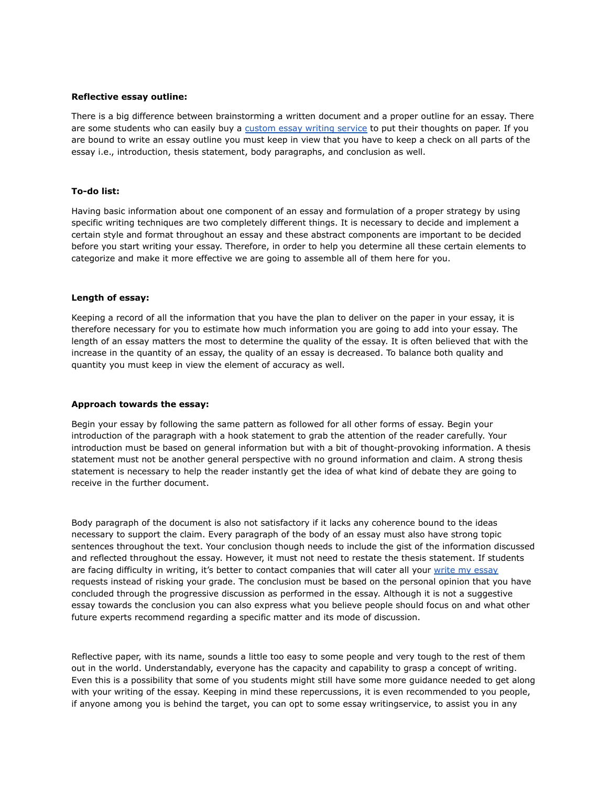### **Reflective essay outline:**

There is a big difference between brainstorming a written document and a proper outline for an essay. There are some students who can easily buy a [custom](https://theessaywritingservice.com/) essay writing service to put their thoughts on paper. If you are bound to write an essay outline you must keep in view that you have to keep a check on all parts of the essay i.e., introduction, thesis statement, body paragraphs, and conclusion as well.

### **To-do list:**

Having basic information about one component of an essay and formulation of a proper strategy by using specific writing techniques are two completely different things. It is necessary to decide and implement a certain style and format throughout an essay and these abstract components are important to be decided before you start writing your essay. Therefore, in order to help you determine all these certain elements to categorize and make it more effective we are going to assemble all of them here for you.

### **Length of essay:**

Keeping a record of all the information that you have the plan to deliver on the paper in your essay, it is therefore necessary for you to estimate how much information you are going to add into your essay. The length of an essay matters the most to determine the quality of the essay. It is often believed that with the increase in the quantity of an essay, the quality of an essay is decreased. To balance both quality and quantity you must keep in view the element of accuracy as well.

## **Approach towards the essay:**

Begin your essay by following the same pattern as followed for all other forms of essay. Begin your introduction of the paragraph with a hook statement to grab the attention of the reader carefully. Your introduction must be based on general information but with a bit of thought-provoking information. A thesis statement must not be another general perspective with no ground information and claim. A strong thesis statement is necessary to help the reader instantly get the idea of what kind of debate they are going to receive in the further document.

Body paragraph of the document is also not satisfactory if it lacks any coherence bound to the ideas necessary to support the claim. Every paragraph of the body of an essay must also have strong topic sentences throughout the text. Your conclusion though needs to include the gist of the information discussed and reflected throughout the essay. However, it must not need to restate the thesis statement. If students are facing difficulty in writing, it's better to contact companies that will cater all your write my [essay](https://writemyessayfast.net/) requests instead of risking your grade. The conclusion must be based on the personal opinion that you have concluded through the progressive discussion as performed in the essay. Although it is not a suggestive essay towards the conclusion you can also express what you believe people should focus on and what other future experts recommend regarding a specific matter and its mode of discussion.

Reflective paper, with its name, sounds a little too easy to some people and very tough to the rest of them out in the world. Understandably, everyone has the capacity and capability to grasp a concept of writing. Even this is a possibility that some of you students might still have some more guidance needed to get along with your writing of the essay. Keeping in mind these repercussions, it is even recommended to you people, if anyone among you is behind the target, you can opt to some essay writingservice, to assist you in any